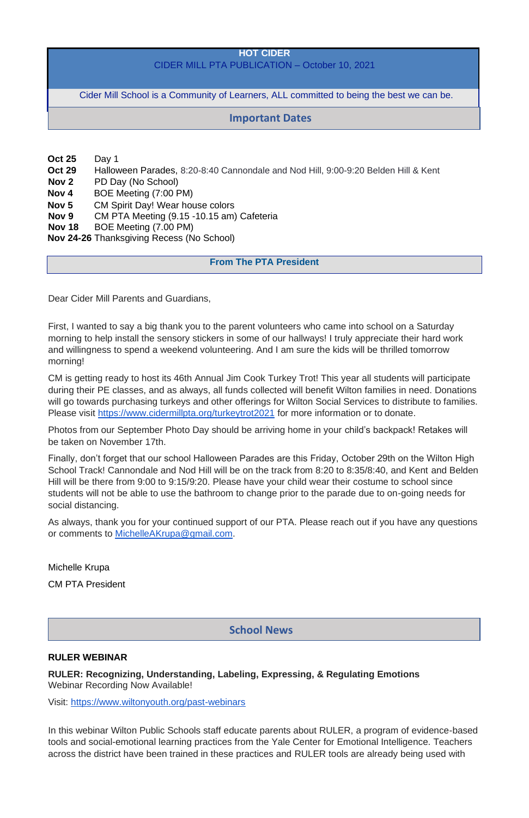#### **HOT CIDER**

## CIDER MILL PTA PUBLICATION – October 10, 2021

Cider Mill School is a Community of Learners, ALL committed to being the best we can be.

- **Oct 25** Day 1
- **Oct 29** Halloween Parades, 8:20-8:40 Cannondale and Nod Hill, 9:00-9:20 Belden Hill & Kent
- **Nov 2** PD Day (No School)
- **Nov 4** BOE Meeting (7:00 PM)
- **Nov 5** CM Spirit Day! Wear house colors
- **Nov 9** CM PTA Meeting (9.15 -10.15 am) Cafeteria
- **Nov 18** BOE Meeting (7.00 PM)
- **Nov 24-26** Thanksgiving Recess (No School)

# **From The PTA President**

Dear Cider Mill Parents and Guardians,

First, I wanted to say a big thank you to the parent volunteers who came into school on a Saturday morning to help install the sensory stickers in some of our hallways! I truly appreciate their hard work and willingness to spend a weekend volunteering. And I am sure the kids will be thrilled tomorrow morning!

CM is getting ready to host its 46th Annual Jim Cook Turkey Trot! This year all students will participate during their PE classes, and as always, all funds collected will benefit Wilton families in need. Donations will go towards purchasing turkeys and other offerings for Wilton Social Services to distribute to families. Please visit <https://www.cidermillpta.org/turkeytrot2021> for more information or to donate.

Photos from our September Photo Day should be arriving home in your child's backpack! Retakes will be taken on November 17th.

Finally, don't forget that our school Halloween Parades are this Friday, October 29th on the Wilton High School Track! Cannondale and Nod Hill will be on the track from 8:20 to 8:35/8:40, and Kent and Belden Hill will be there from 9:00 to 9:15/9:20. Please have your child wear their costume to school since students will not be able to use the bathroom to change prior to the parade due to on-going needs for social distancing.

As always, thank you for your continued support of our PTA. Please reach out if you have any questions or comments to [MichelleAKrupa@gmail.com.](mailto:MichelleAKrupa@gmail.com)

Michelle Krupa CM PTA President

#### **RULER WEBINAR**

**RULER: Recognizing, Understanding, Labeling, Expressing, & Regulating Emotions** Webinar Recording Now Available!

Visit: <https://www.wiltonyouth.org/past-webinars>

In this webinar Wilton Public Schools staff educate parents about RULER, a program of evidence-based tools and social-emotional learning practices from the Yale Center for Emotional Intelligence. Teachers across the district have been trained in these practices and RULER tools are already being used with

# **Important Dates**

# **School News**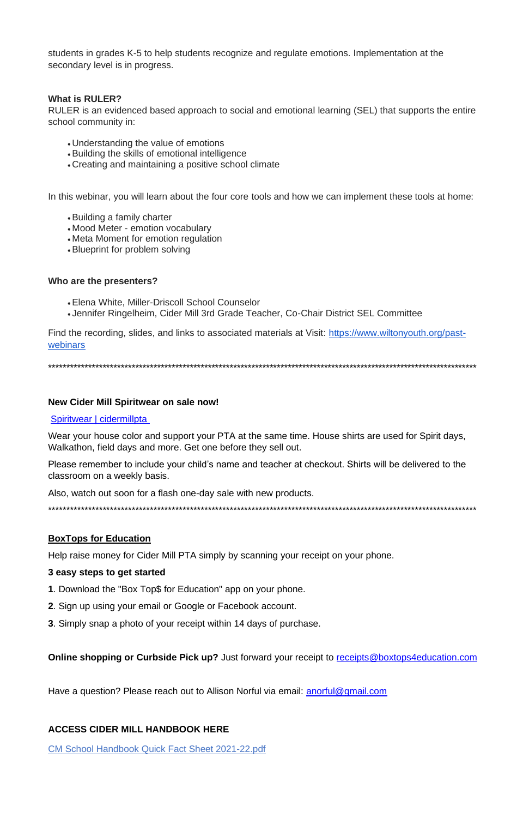students in grades K-5 to help students recognize and regulate emotions. Implementation at the secondary level is in progress.

### **What is RULER?**

RULER is an evidenced based approach to social and emotional learning (SEL) that supports the entire school community in:

- Understanding the value of emotions
- Building the skills of emotional intelligence
- Creating and maintaining a positive school climate

In this webinar, you will learn about the four core tools and how we can implement these tools at home:

- Building a family charter
- Mood Meter emotion vocabulary
- Meta Moment for emotion regulation
- Blueprint for problem solving

#### Who are the presenters?

- Elena White, Miller-Driscoll School Counselor
- Jennifer Ringelheim, Cider Mill 3rd Grade Teacher, Co-Chair District SEL Committee

Find the recording, slides, and links to associated materials at Visit: https://www.wiltonyouth.org/pastwebinars

#### New Cider Mill Spiritwear on sale now!

#### **Spiritwear | cidermillpta**

Wear your house color and support your PTA at the same time. House shirts are used for Spirit days, Walkathon, field days and more. Get one before they sell out.

Please remember to include your child's name and teacher at checkout. Shirts will be delivered to the classroom on a weekly basis.

Also, watch out soon for a flash one-day sale with new products.

## **BoxTops for Education**

Help raise money for Cider Mill PTA simply by scanning your receipt on your phone.

#### 3 easy steps to get started

1. Download the "Box Top\$ for Education" app on your phone.

2. Sign up using your email or Google or Facebook account.

3. Simply snap a photo of your receipt within 14 days of purchase.

**Online shopping or Curbside Pick up?** Just forward your receipt to receipts@boxtops4education.com

Have a question? Please reach out to Allison Norful via email: anorful@gmail.com

### **ACCESS CIDER MILL HANDBOOK HERE**

CM School Handbook Quick Fact Sheet 2021-22.pdf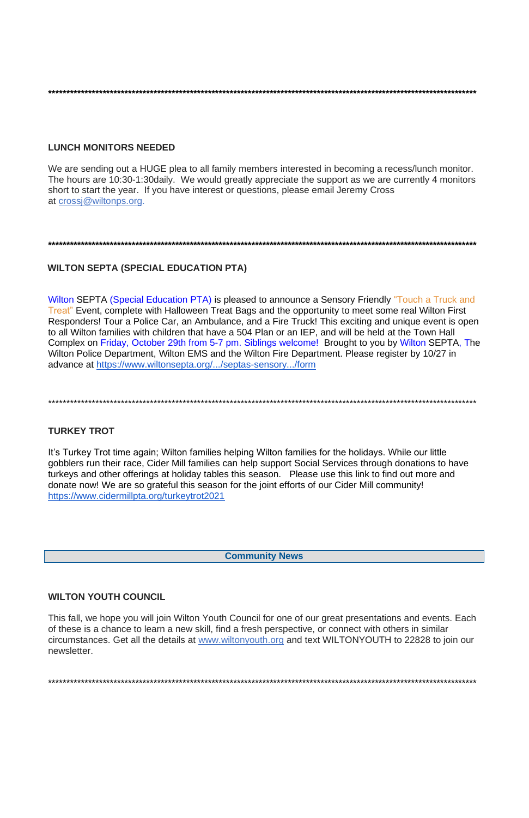## **LUNCH MONITORS NEEDED**

We are sending out a HUGE plea to all family members interested in becoming a recess/lunch monitor. The hours are 10:30-1:30 daily. We would greatly appreciate the support as we are currently 4 monitors short to start the year. If you have interest or questions, please email Jeremy Cross at crossi@wiltonps.org.

# **WILTON SEPTA (SPECIAL EDUCATION PTA)**

Wilton SEPTA (Special Education PTA) is pleased to announce a Sensory Friendly "Touch a Truck and Treat" Event, complete with Halloween Treat Bags and the opportunity to meet some real Wilton First Responders! Tour a Police Car, an Ambulance, and a Fire Truck! This exciting and unique event is open to all Wilton families with children that have a 504 Plan or an IEP, and will be held at the Town Hall Complex on Friday, October 29th from 5-7 pm. Siblings welcome! Brought to you by Wilton SEPTA, The Wilton Police Department, Wilton EMS and the Wilton Fire Department. Please register by 10/27 in advance at https://www.wiltonsepta.org/.../septas-sensory.../form

## **TURKEY TROT**

It's Turkey Trot time again; Wilton families helping Wilton families for the holidays. While our little gobblers run their race, Cider Mill families can help support Social Services through donations to have turkeys and other offerings at holiday tables this season. Please use this link to find out more and donate now! We are so grateful this season for the joint efforts of our Cider Mill community! https://www.cidermillpta.org/turkeytrot2021

**Community News** 

**WILTON YOUTH COUNCIL** 

This fall, we hope you will join Wilton Youth Council for one of our great presentations and events. Each of these is a chance to learn a new skill, find a fresh perspective, or connect with others in similar circumstances. Get all the details at www.wiltonyouth.org and text WILTONYOUTH to 22828 to join our newsletter.